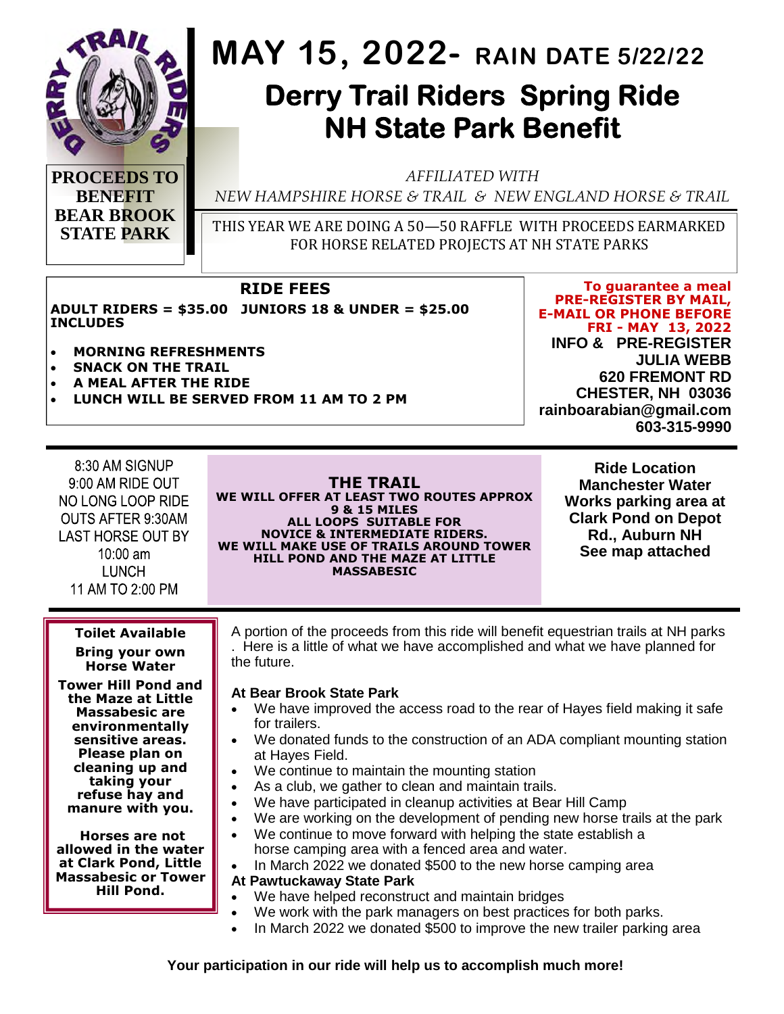

# **MAY 15, 2022- RAIN DATE 5/22/22 Derry Trail Riders Spring Ride NH State Park Benefit**

**PROCEEDS TO BENEFIT BEAR BROOK STATE PARK**

*AFFILIATED WITH*

*NEW HAMPSHIRE HORSE & TRAIL & NEW ENGLAND HORSE & TRAIL* 

THIS YEAR WE ARE DOING A 50—50 RAFFLE WITH PROCEEDS EARMARKED FOR HORSE RELATED PROJECTS AT NH STATE PARKS

### **RIDE FEES**

**ADULT RIDERS = \$35.00 JUNIORS 18 & UNDER = \$25.00 INCLUDES** 

- **MORNING REFRESHMENTS**
- **SNACK ON THE TRAIL**
- **A MEAL AFTER THE RIDE**
- **LUNCH WILL BE SERVED FROM 11 AM TO 2 PM**

**To guarantee a meal PRE-REGISTER BY MAIL, E-MAIL OR PHONE BEFORE FRI - MAY 13, 2022 INFO & PRE-REGISTER JULIA WEBB 620 FREMONT RD CHESTER, NH 03036 rainboarabian@gmail.com 603-315-9990**

8:30 AM SIGNUP 9:00 AM RIDE OUT NO LONG LOOP RIDE **OUTS AFTER 9:30AM LAST HORSE OUT BY**  $10:00$  am **LUNCH** 11 AM TO 2:00 PM

**THE TRAIL WE WILL OFFER AT LEAST TWO ROUTES APPROX 9 & 15 MILES ALL LOOPS SUITABLE FOR NOVICE & INTERMEDIATE RIDERS. WE WILL MAKE USE OF TRAILS AROUND TOWER HILL POND AND THE MAZE AT LITTLE MASSABESIC**

**Ride Location Manchester Water Works parking area at Clark Pond on Depot Rd., Auburn NH See map attached**

#### **Toilet Available Bring your own Horse Water**

**Tower Hill Pond and the Maze at Little Massabesic are environmentally sensitive areas. Please plan on cleaning up and taking your refuse hay and manure with you.**

 **Horses are not allowed in the water at Clark Pond, Little Massabesic or Tower Hill Pond.**

A portion of the proceeds from this ride will benefit equestrian trails at NH parks . Here is a little of what we have accomplished and what we have planned for the future.

#### **At Bear Brook State Park**

- We have improved the access road to the rear of Hayes field making it safe for trailers.
- We donated funds to the construction of an ADA compliant mounting station at Hayes Field.
- We continue to maintain the mounting station
- As a club, we gather to clean and maintain trails.
- We have participated in cleanup activities at Bear Hill Camp
- We are working on the development of pending new horse trails at the park
- We continue to move forward with helping the state establish a horse camping area with a fenced area and water.
- In March 2022 we donated \$500 to the new horse camping area

#### **At Pawtuckaway State Park**

- We have helped reconstruct and maintain bridges
- We work with the park managers on best practices for both parks.
- In March 2022 we donated \$500 to improve the new trailer parking area

#### **Your participation in our ride will help us to accomplish much more!**